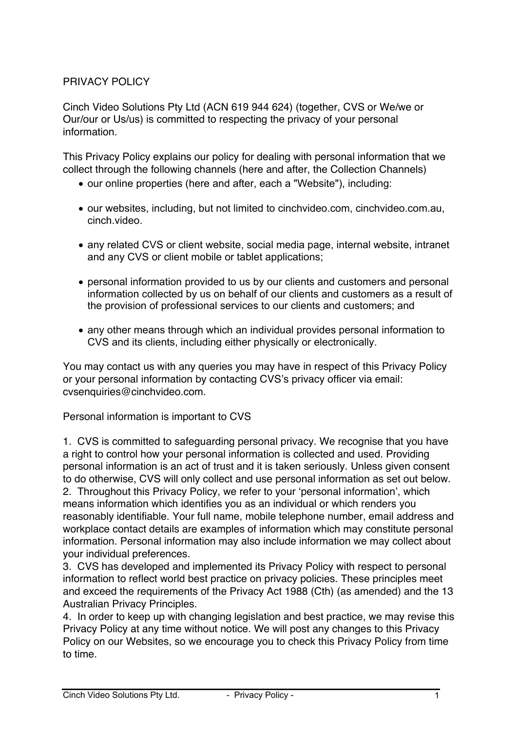# PRIVACY POLICY

Cinch Video Solutions Pty Ltd (ACN 619 944 624) (together, CVS or We/we or Our/our or Us/us) is committed to respecting the privacy of your personal information.

This Privacy Policy explains our policy for dealing with personal information that we collect through the following channels (here and after, the Collection Channels)

- our online properties (here and after, each a "Website"), including:
- our websites, including, but not limited to cinchvideo.com, cinchvideo.com.au, cinch.video.
- any related CVS or client website, social media page, internal website, intranet and any CVS or client mobile or tablet applications;
- personal information provided to us by our clients and customers and personal information collected by us on behalf of our clients and customers as a result of the provision of professional services to our clients and customers; and
- any other means through which an individual provides personal information to CVS and its clients, including either physically or electronically.

You may contact us with any queries you may have in respect of this Privacy Policy or your personal information by contacting CVS's privacy officer via email: cvsenquiries@cinchvideo.com.

Personal information is important to CVS

1. CVS is committed to safeguarding personal privacy. We recognise that you have a right to control how your personal information is collected and used. Providing personal information is an act of trust and it is taken seriously. Unless given consent to do otherwise, CVS will only collect and use personal information as set out below.

2. Throughout this Privacy Policy, we refer to your 'personal information', which means information which identifies you as an individual or which renders you reasonably identifiable. Your full name, mobile telephone number, email address and workplace contact details are examples of information which may constitute personal information. Personal information may also include information we may collect about your individual preferences.

3. CVS has developed and implemented its Privacy Policy with respect to personal information to reflect world best practice on privacy policies. These principles meet and exceed the requirements of the Privacy Act 1988 (Cth) (as amended) and the 13 Australian Privacy Principles.

4. In order to keep up with changing legislation and best practice, we may revise this Privacy Policy at any time without notice. We will post any changes to this Privacy Policy on our Websites, so we encourage you to check this Privacy Policy from time to time.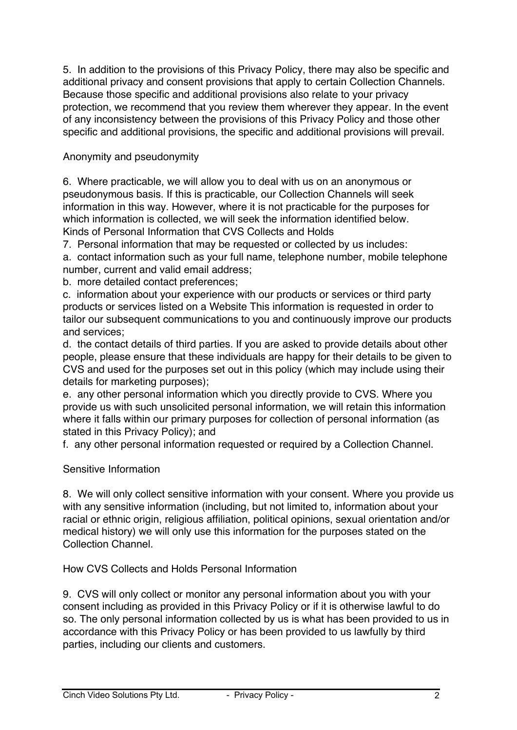5. In addition to the provisions of this Privacy Policy, there may also be specific and additional privacy and consent provisions that apply to certain Collection Channels. Because those specific and additional provisions also relate to your privacy protection, we recommend that you review them wherever they appear. In the event of any inconsistency between the provisions of this Privacy Policy and those other specific and additional provisions, the specific and additional provisions will prevail.

## Anonymity and pseudonymity

6. Where practicable, we will allow you to deal with us on an anonymous or pseudonymous basis. If this is practicable, our Collection Channels will seek information in this way. However, where it is not practicable for the purposes for which information is collected, we will seek the information identified below. Kinds of Personal Information that CVS Collects and Holds

7. Personal information that may be requested or collected by us includes: a. contact information such as your full name, telephone number, mobile telephone number, current and valid email address;

b. more detailed contact preferences;

c. information about your experience with our products or services or third party products or services listed on a Website This information is requested in order to tailor our subsequent communications to you and continuously improve our products and services;

d. the contact details of third parties. If you are asked to provide details about other people, please ensure that these individuals are happy for their details to be given to CVS and used for the purposes set out in this policy (which may include using their details for marketing purposes);

e. any other personal information which you directly provide to CVS. Where you provide us with such unsolicited personal information, we will retain this information where it falls within our primary purposes for collection of personal information (as stated in this Privacy Policy); and

f. any other personal information requested or required by a Collection Channel.

Sensitive Information

8. We will only collect sensitive information with your consent. Where you provide us with any sensitive information (including, but not limited to, information about your racial or ethnic origin, religious affiliation, political opinions, sexual orientation and/or medical history) we will only use this information for the purposes stated on the Collection Channel.

How CVS Collects and Holds Personal Information

9. CVS will only collect or monitor any personal information about you with your consent including as provided in this Privacy Policy or if it is otherwise lawful to do so. The only personal information collected by us is what has been provided to us in accordance with this Privacy Policy or has been provided to us lawfully by third parties, including our clients and customers.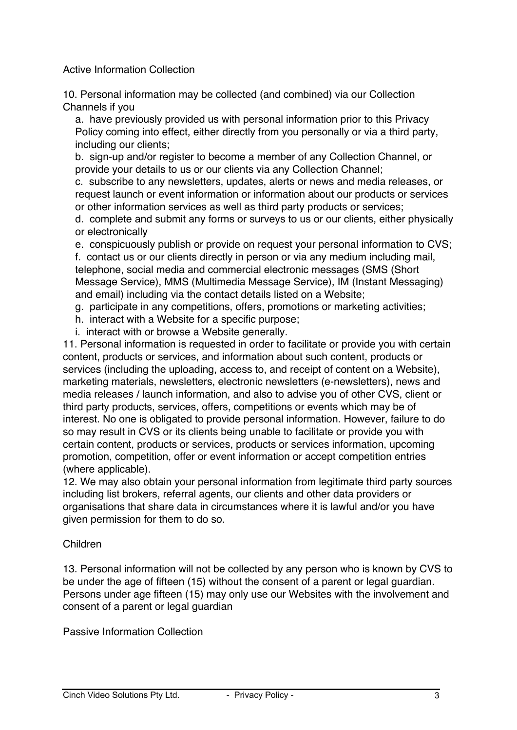Active Information Collection

10. Personal information may be collected (and combined) via our Collection Channels if you

a. have previously provided us with personal information prior to this Privacy Policy coming into effect, either directly from you personally or via a third party, including our clients;

b. sign-up and/or register to become a member of any Collection Channel, or provide your details to us or our clients via any Collection Channel;

c. subscribe to any newsletters, updates, alerts or news and media releases, or request launch or event information or information about our products or services or other information services as well as third party products or services;

d. complete and submit any forms or surveys to us or our clients, either physically or electronically

e. conspicuously publish or provide on request your personal information to CVS; f. contact us or our clients directly in person or via any medium including mail, telephone, social media and commercial electronic messages (SMS (Short Message Service), MMS (Multimedia Message Service), IM (Instant Messaging) and email) including via the contact details listed on a Website;

g. participate in any competitions, offers, promotions or marketing activities;

h. interact with a Website for a specific purpose;

i. interact with or browse a Website generally.

11. Personal information is requested in order to facilitate or provide you with certain content, products or services, and information about such content, products or services (including the uploading, access to, and receipt of content on a Website), marketing materials, newsletters, electronic newsletters (e-newsletters), news and media releases / launch information, and also to advise you of other CVS, client or third party products, services, offers, competitions or events which may be of interest. No one is obligated to provide personal information. However, failure to do so may result in CVS or its clients being unable to facilitate or provide you with certain content, products or services, products or services information, upcoming promotion, competition, offer or event information or accept competition entries (where applicable).

12. We may also obtain your personal information from legitimate third party sources including list brokers, referral agents, our clients and other data providers or organisations that share data in circumstances where it is lawful and/or you have given permission for them to do so.

## Children

13. Personal information will not be collected by any person who is known by CVS to be under the age of fifteen (15) without the consent of a parent or legal guardian. Persons under age fifteen (15) may only use our Websites with the involvement and consent of a parent or legal guardian

Passive Information Collection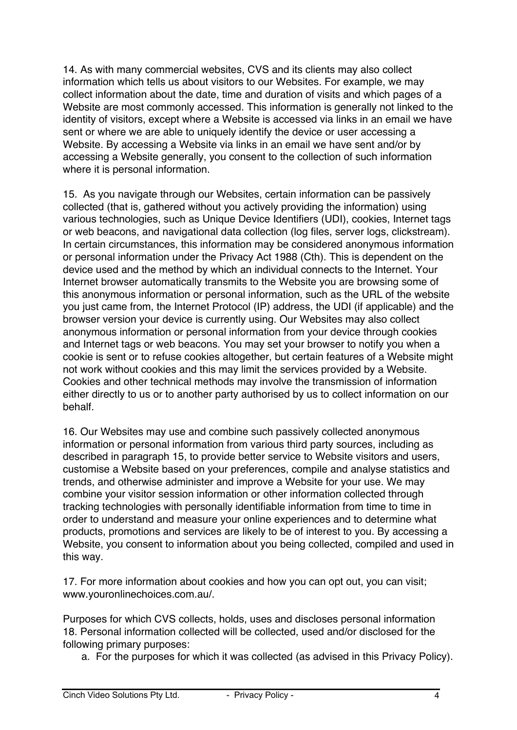14. As with many commercial websites, CVS and its clients may also collect information which tells us about visitors to our Websites. For example, we may collect information about the date, time and duration of visits and which pages of a Website are most commonly accessed. This information is generally not linked to the identity of visitors, except where a Website is accessed via links in an email we have sent or where we are able to uniquely identify the device or user accessing a Website. By accessing a Website via links in an email we have sent and/or by accessing a Website generally, you consent to the collection of such information where it is personal information.

15. As you navigate through our Websites, certain information can be passively collected (that is, gathered without you actively providing the information) using various technologies, such as Unique Device Identifiers (UDI), cookies, Internet tags or web beacons, and navigational data collection (log files, server logs, clickstream). In certain circumstances, this information may be considered anonymous information or personal information under the Privacy Act 1988 (Cth). This is dependent on the device used and the method by which an individual connects to the Internet. Your Internet browser automatically transmits to the Website you are browsing some of this anonymous information or personal information, such as the URL of the website you just came from, the Internet Protocol (IP) address, the UDI (if applicable) and the browser version your device is currently using. Our Websites may also collect anonymous information or personal information from your device through cookies and Internet tags or web beacons. You may set your browser to notify you when a cookie is sent or to refuse cookies altogether, but certain features of a Website might not work without cookies and this may limit the services provided by a Website. Cookies and other technical methods may involve the transmission of information either directly to us or to another party authorised by us to collect information on our behalf.

16. Our Websites may use and combine such passively collected anonymous information or personal information from various third party sources, including as described in paragraph 15, to provide better service to Website visitors and users, customise a Website based on your preferences, compile and analyse statistics and trends, and otherwise administer and improve a Website for your use. We may combine your visitor session information or other information collected through tracking technologies with personally identifiable information from time to time in order to understand and measure your online experiences and to determine what products, promotions and services are likely to be of interest to you. By accessing a Website, you consent to information about you being collected, compiled and used in this way.

17. For more information about cookies and how you can opt out, you can visit; www.youronlinechoices.com.au/.

Purposes for which CVS collects, holds, uses and discloses personal information 18. Personal information collected will be collected, used and/or disclosed for the following primary purposes:

a. For the purposes for which it was collected (as advised in this Privacy Policy).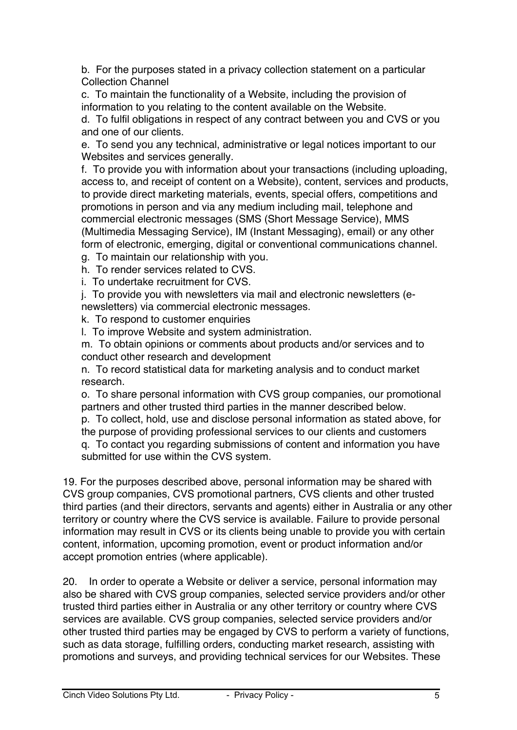b. For the purposes stated in a privacy collection statement on a particular Collection Channel

c. To maintain the functionality of a Website, including the provision of information to you relating to the content available on the Website.

d. To fulfil obligations in respect of any contract between you and CVS or you and one of our clients.

e. To send you any technical, administrative or legal notices important to our Websites and services generally.

f. To provide you with information about your transactions (including uploading, access to, and receipt of content on a Website), content, services and products, to provide direct marketing materials, events, special offers, competitions and promotions in person and via any medium including mail, telephone and commercial electronic messages (SMS (Short Message Service), MMS (Multimedia Messaging Service), IM (Instant Messaging), email) or any other form of electronic, emerging, digital or conventional communications channel.

g. To maintain our relationship with you.

h. To render services related to CVS.

i. To undertake recruitment for CVS.

j. To provide you with newsletters via mail and electronic newsletters (enewsletters) via commercial electronic messages.

k. To respond to customer enquiries

l. To improve Website and system administration.

m. To obtain opinions or comments about products and/or services and to conduct other research and development

n. To record statistical data for marketing analysis and to conduct market research.

o. To share personal information with CVS group companies, our promotional partners and other trusted third parties in the manner described below.

p. To collect, hold, use and disclose personal information as stated above, for the purpose of providing professional services to our clients and customers q. To contact you regarding submissions of content and information you have submitted for use within the CVS system.

19. For the purposes described above, personal information may be shared with CVS group companies, CVS promotional partners, CVS clients and other trusted third parties (and their directors, servants and agents) either in Australia or any other territory or country where the CVS service is available. Failure to provide personal information may result in CVS or its clients being unable to provide you with certain content, information, upcoming promotion, event or product information and/or accept promotion entries (where applicable).

20. In order to operate a Website or deliver a service, personal information may also be shared with CVS group companies, selected service providers and/or other trusted third parties either in Australia or any other territory or country where CVS services are available. CVS group companies, selected service providers and/or other trusted third parties may be engaged by CVS to perform a variety of functions, such as data storage, fulfilling orders, conducting market research, assisting with promotions and surveys, and providing technical services for our Websites. These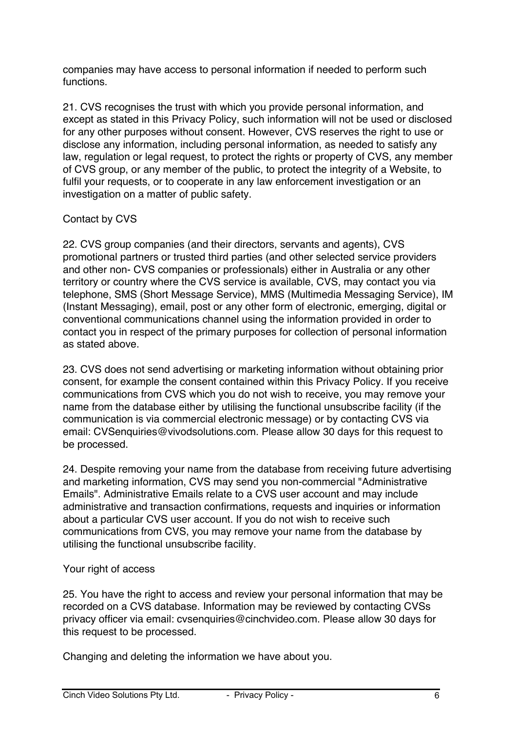companies may have access to personal information if needed to perform such functions.

21. CVS recognises the trust with which you provide personal information, and except as stated in this Privacy Policy, such information will not be used or disclosed for any other purposes without consent. However, CVS reserves the right to use or disclose any information, including personal information, as needed to satisfy any law, regulation or legal request, to protect the rights or property of CVS, any member of CVS group, or any member of the public, to protect the integrity of a Website, to fulfil your requests, or to cooperate in any law enforcement investigation or an investigation on a matter of public safety.

## Contact by CVS

22. CVS group companies (and their directors, servants and agents), CVS promotional partners or trusted third parties (and other selected service providers and other non- CVS companies or professionals) either in Australia or any other territory or country where the CVS service is available, CVS, may contact you via telephone, SMS (Short Message Service), MMS (Multimedia Messaging Service), IM (Instant Messaging), email, post or any other form of electronic, emerging, digital or conventional communications channel using the information provided in order to contact you in respect of the primary purposes for collection of personal information as stated above.

23. CVS does not send advertising or marketing information without obtaining prior consent, for example the consent contained within this Privacy Policy. If you receive communications from CVS which you do not wish to receive, you may remove your name from the database either by utilising the functional unsubscribe facility (if the communication is via commercial electronic message) or by contacting CVS via email: CVSenquiries@vivodsolutions.com. Please allow 30 days for this request to be processed.

24. Despite removing your name from the database from receiving future advertising and marketing information, CVS may send you non-commercial "Administrative Emails". Administrative Emails relate to a CVS user account and may include administrative and transaction confirmations, requests and inquiries or information about a particular CVS user account. If you do not wish to receive such communications from CVS, you may remove your name from the database by utilising the functional unsubscribe facility.

## Your right of access

25. You have the right to access and review your personal information that may be recorded on a CVS database. Information may be reviewed by contacting CVSs privacy officer via email: cvsenquiries@cinchvideo.com. Please allow 30 days for this request to be processed.

Changing and deleting the information we have about you.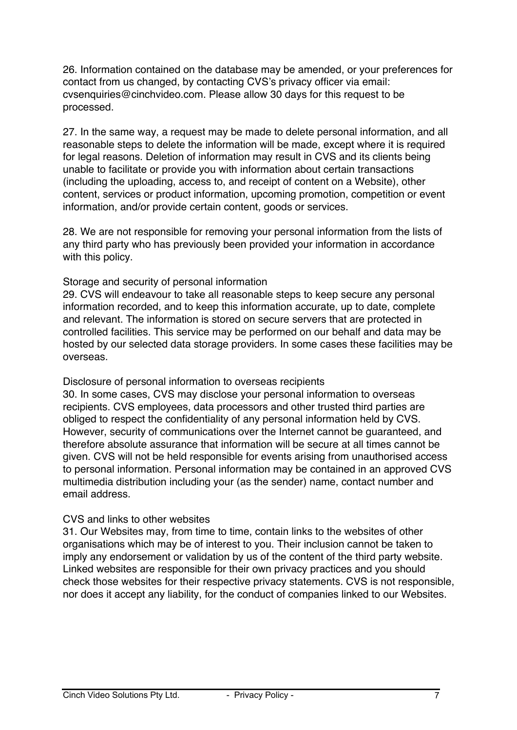26. Information contained on the database may be amended, or your preferences for contact from us changed, by contacting CVS's privacy officer via email: cvsenquiries@cinchvideo.com. Please allow 30 days for this request to be processed.

27. In the same way, a request may be made to delete personal information, and all reasonable steps to delete the information will be made, except where it is required for legal reasons. Deletion of information may result in CVS and its clients being unable to facilitate or provide you with information about certain transactions (including the uploading, access to, and receipt of content on a Website), other content, services or product information, upcoming promotion, competition or event information, and/or provide certain content, goods or services.

28. We are not responsible for removing your personal information from the lists of any third party who has previously been provided your information in accordance with this policy.

### Storage and security of personal information

29. CVS will endeavour to take all reasonable steps to keep secure any personal information recorded, and to keep this information accurate, up to date, complete and relevant. The information is stored on secure servers that are protected in controlled facilities. This service may be performed on our behalf and data may be hosted by our selected data storage providers. In some cases these facilities may be overseas.

#### Disclosure of personal information to overseas recipients

30. In some cases, CVS may disclose your personal information to overseas recipients. CVS employees, data processors and other trusted third parties are obliged to respect the confidentiality of any personal information held by CVS. However, security of communications over the Internet cannot be guaranteed, and therefore absolute assurance that information will be secure at all times cannot be given. CVS will not be held responsible for events arising from unauthorised access to personal information. Personal information may be contained in an approved CVS multimedia distribution including your (as the sender) name, contact number and email address.

## CVS and links to other websites

31. Our Websites may, from time to time, contain links to the websites of other organisations which may be of interest to you. Their inclusion cannot be taken to imply any endorsement or validation by us of the content of the third party website. Linked websites are responsible for their own privacy practices and you should check those websites for their respective privacy statements. CVS is not responsible, nor does it accept any liability, for the conduct of companies linked to our Websites.